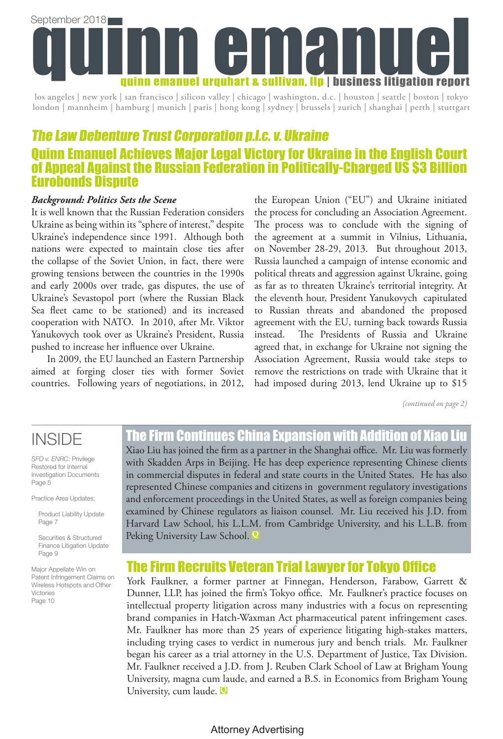

los angeles | new york | san francisco | silicon valley | chicago | washington, d.c. | houston | seattle | boston | tokyo london | mannheim | hamburg | munich | paris | hong kong | sydney | brussels | zurich | shanghai | perth | stuttgart

### The Law Debenture Trust Corporation p.l.c. v. Ukraine Quinn Emanuel Achieves Major Legal Victory for Ukraine in the English Court of Appeal Against the Russian Federation in Politically-Charged US \$3 Billion Eurobonds Dispute

### *Background: Politics Sets the Scene*

It is well known that the Russian Federation considers Ukraine as being within its "sphere of interest," despite Ukraine's independence since 1991. Although both nations were expected to maintain close ties after the collapse of the Soviet Union, in fact, there were growing tensions between the countries in the 1990s and early 2000s over trade, gas disputes, the use of Ukraine's Sevastopol port (where the Russian Black Sea fleet came to be stationed) and its increased cooperation with NATO. In 2010, after Mr. Viktor Yanukovych took over as Ukraine's President, Russia pushed to increase her influence over Ukraine.

In 2009, the EU launched an Eastern Partnership aimed at forging closer ties with former Soviet countries. Following years of negotiations, in 2012, the European Union ("EU") and Ukraine initiated the process for concluding an Association Agreement. The process was to conclude with the signing of the agreement at a summit in Vilnius, Lithuania, on November 28-29, 2013. But throughout 2013, Russia launched a campaign of intense economic and political threats and aggression against Ukraine, going as far as to threaten Ukraine's territorial integrity. At the eleventh hour, President Yanukovych capitulated to Russian threats and abandoned the proposed agreement with the EU, turning back towards Russia instead. The Presidents of Russia and Ukraine agreed that, in exchange for Ukraine not signing the Association Agreement, Russia would take steps to remove the restrictions on trade with Ukraine that it had imposed during 2013, lend Ukraine up to \$15

*(continued on page 2)*

### **INSIDE**

*SFO v. ENRC*: Privilege Restored for Internal Investigation Documents Page 5

Practice Area Updates:

Product Liability Update Page 7

Securities & Structured Finance Litigation Update Page 9

Major Appellate Win on Patent Infringement Claims on Wireless Hotspots and Other Victories Page 10

### The Firm Continues China Expansion with Addition of Xiao Liu

Xiao Liu has joined the firm as a partner in the Shanghai office. Mr. Liu was formerly with Skadden Arps in Beijing. He has deep experience representing Chinese clients in commercial disputes in federal and state courts in the United States. He has also represented Chinese companies and citizens in government regulatory investigations and enforcement proceedings in the United States, as well as foreign companies being examined by Chinese regulators as liaison counsel. Mr. Liu received his J.D. from Harvard Law School, his L.L.M. from Cambridge University, and his L.L.B. from Peking University Law School. **Q**

### The Firm Recruits Veteran Trial Lawyer for Tokyo Office

York Faulkner, a former partner at Finnegan, Henderson, Farabow, Garrett & Dunner, LLP, has joined the firm's Tokyo office. Mr. Faulkner's practice focuses on intellectual property litigation across many industries with a focus on representing brand companies in Hatch-Waxman Act pharmaceutical patent infringement cases. Mr. Faulkner has more than 25 years of experience litigating high-stakes matters, including trying cases to verdict in numerous jury and bench trials. Mr. Faulkner began his career as a trial attorney in the U.S. Department of Justice, Tax Division. Mr. Faulkner received a J.D. from J. Reuben Clark School of Law at Brigham Young University, magna cum laude, and earned a B.S. in Economics from Brigham Young University, cum laude. **Q**

### Attorney Advertising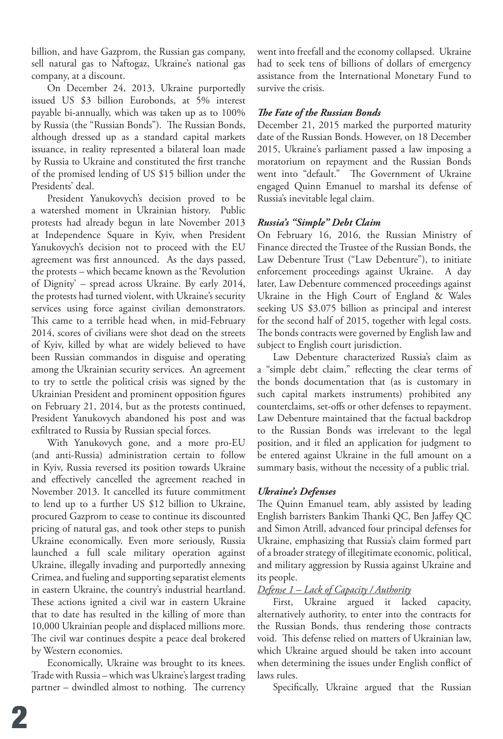billion, and have Gazprom, the Russian gas company, sell natural gas to Naftogaz, Ukraine's national gas company, at a discount.

On December 24, 2013, Ukraine purportedly issued US \$3 billion Eurobonds, at 5% interest payable bi-annually, which was taken up as to 100% by Russia (the "Russian Bonds"). The Russian Bonds, although dressed up as a standard capital markets issuance, in reality represented a bilateral loan made by Russia to Ukraine and constituted the first tranche of the promised lending of US \$15 billion under the Presidents' deal.

President Yanukovych's decision proved to be a watershed moment in Ukrainian history. Public protests had already begun in late November 2013 at Independence Square in Kyiv, when President Yanukovych's decision not to proceed with the EU agreement was first announced. As the days passed, the protests – which became known as the 'Revolution of Dignity' – spread across Ukraine. By early 2014, the protests had turned violent, with Ukraine's security services using force against civilian demonstrators. This came to a terrible head when, in mid-February 2014, scores of civilians were shot dead on the streets of Kyiv, killed by what are widely believed to have been Russian commandos in disguise and operating among the Ukrainian security services. An agreement to try to settle the political crisis was signed by the Ukrainian President and prominent opposition figures on February 21, 2014, but as the protests continued, President Yanukovych abandoned his post and was exfiltrated to Russia by Russian special forces.

With Yanukovych gone, and a more pro-EU (and anti-Russia) administration certain to follow in Kyiv, Russia reversed its position towards Ukraine and effectively cancelled the agreement reached in November 2013. It cancelled its future commitment to lend up to a further US \$12 billion to Ukraine, procured Gazprom to cease to continue its discounted pricing of natural gas, and took other steps to punish Ukraine economically. Even more seriously, Russia launched a full scale military operation against Ukraine, illegally invading and purportedly annexing Crimea, and fueling and supporting separatist elements in eastern Ukraine, the country's industrial heartland. These actions ignited a civil war in eastern Ukraine that to date has resulted in the killing of more than 10,000 Ukrainian people and displaced millions more. The civil war continues despite a peace deal brokered by Western economies.

Economically, Ukraine was brought to its knees. Trade with Russia – which was Ukraine's largest trading partner – dwindled almost to nothing. The currency went into freefall and the economy collapsed. Ukraine had to seek tens of billions of dollars of emergency assistance from the International Monetary Fund to survive the crisis.

### *The Fate of the Russian Bonds*

December 21, 2015 marked the purported maturity date of the Russian Bonds. However, on 18 December 2015, Ukraine's parliament passed a law imposing a moratorium on repayment and the Russian Bonds went into "default." The Government of Ukraine engaged Quinn Emanuel to marshal its defense of Russia's inevitable legal claim.

### *Russia's "Simple" Debt Claim*

On February 16, 2016, the Russian Ministry of Finance directed the Trustee of the Russian Bonds, the Law Debenture Trust ("Law Debenture"), to initiate enforcement proceedings against Ukraine. A day later, Law Debenture commenced proceedings against Ukraine in the High Court of England & Wales seeking US \$3.075 billion as principal and interest for the second half of 2015, together with legal costs. The bonds contracts were governed by English law and subject to English court jurisdiction.

Law Debenture characterized Russia's claim as a "simple debt claim," reflecting the clear terms of the bonds documentation that (as is customary in such capital markets instruments) prohibited any counterclaims, set-offs or other defenses to repayment. Law Debenture maintained that the factual backdrop to the Russian Bonds was irrelevant to the legal position, and it filed an application for judgment to be entered against Ukraine in the full amount on a summary basis, without the necessity of a public trial.

### *Ukraine's Defenses*

The Quinn Emanuel team, ably assisted by leading English barristers Bankim Thanki QC, Ben Jaffey QC and Simon Atrill, advanced four principal defenses for Ukraine, emphasizing that Russia's claim formed part of a broader strategy of illegitimate economic, political, and military aggression by Russia against Ukraine and its people.

### *Defense 1 – Lack of Capacity / Authority*

First, Ukraine argued it lacked capacity, alternatively authority, to enter into the contracts for the Russian Bonds, thus rendering those contracts void. This defense relied on matters of Ukrainian law, which Ukraine argued should be taken into account when determining the issues under English conflict of laws rules.

Specifically, Ukraine argued that the Russian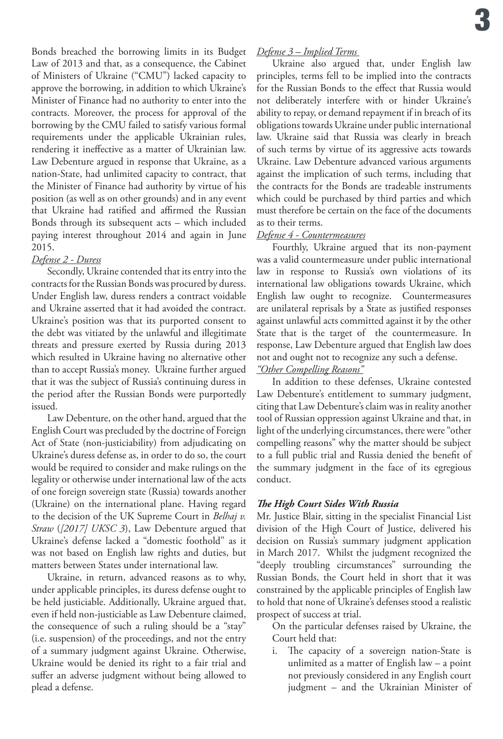Bonds breached the borrowing limits in its Budget Law of 2013 and that, as a consequence, the Cabinet of Ministers of Ukraine ("CMU") lacked capacity to approve the borrowing, in addition to which Ukraine's Minister of Finance had no authority to enter into the contracts. Moreover, the process for approval of the borrowing by the CMU failed to satisfy various formal requirements under the applicable Ukrainian rules, rendering it ineffective as a matter of Ukrainian law. Law Debenture argued in response that Ukraine, as a nation-State, had unlimited capacity to contract, that the Minister of Finance had authority by virtue of his position (as well as on other grounds) and in any event that Ukraine had ratified and affirmed the Russian Bonds through its subsequent acts – which included paying interest throughout 2014 and again in June 2015.

### *Defense 2 - Duress*

Secondly, Ukraine contended that its entry into the contracts for the Russian Bonds was procured by duress. Under English law, duress renders a contract voidable and Ukraine asserted that it had avoided the contract. Ukraine's position was that its purported consent to the debt was vitiated by the unlawful and illegitimate threats and pressure exerted by Russia during 2013 which resulted in Ukraine having no alternative other than to accept Russia's money. Ukraine further argued that it was the subject of Russia's continuing duress in the period after the Russian Bonds were purportedly issued.

Law Debenture, on the other hand, argued that the English Court was precluded by the doctrine of Foreign Act of State (non-justiciability) from adjudicating on Ukraine's duress defense as, in order to do so, the court would be required to consider and make rulings on the legality or otherwise under international law of the acts of one foreign sovereign state (Russia) towards another (Ukraine) on the international plane. Having regard to the decision of the UK Supreme Court in *Belhaj v. Straw* (*[2017] UKSC 3*), Law Debenture argued that Ukraine's defense lacked a "domestic foothold" as it was not based on English law rights and duties, but matters between States under international law.

Ukraine, in return, advanced reasons as to why, under applicable principles, its duress defense ought to be held justiciable. Additionally, Ukraine argued that, even if held non-justiciable as Law Debenture claimed, the consequence of such a ruling should be a "stay" (i.e. suspension) of the proceedings, and not the entry of a summary judgment against Ukraine. Otherwise, Ukraine would be denied its right to a fair trial and suffer an adverse judgment without being allowed to plead a defense.

### *Defense 3 – Implied Terms*

Ukraine also argued that, under English law principles, terms fell to be implied into the contracts for the Russian Bonds to the effect that Russia would not deliberately interfere with or hinder Ukraine's ability to repay, or demand repayment if in breach of its obligations towards Ukraine under public international law. Ukraine said that Russia was clearly in breach of such terms by virtue of its aggressive acts towards Ukraine. Law Debenture advanced various arguments against the implication of such terms, including that the contracts for the Bonds are tradeable instruments which could be purchased by third parties and which must therefore be certain on the face of the documents as to their terms.

### *Defense 4 - Countermeasures*

Fourthly, Ukraine argued that its non-payment was a valid countermeasure under public international law in response to Russia's own violations of its international law obligations towards Ukraine, which English law ought to recognize. Countermeasures are unilateral reprisals by a State as justified responses against unlawful acts committed against it by the other State that is the target of the countermeasure. In response, Law Debenture argued that English law does not and ought not to recognize any such a defense. *"Other Compelling Reasons"*

In addition to these defenses, Ukraine contested Law Debenture's entitlement to summary judgment, citing that Law Debenture's claim was in reality another tool of Russian oppression against Ukraine and that, in light of the underlying circumstances, there were "other compelling reasons" why the matter should be subject to a full public trial and Russia denied the benefit of the summary judgment in the face of its egregious conduct.

### *The High Court Sides With Russia*

Mr. Justice Blair, sitting in the specialist Financial List division of the High Court of Justice, delivered his decision on Russia's summary judgment application in March 2017. Whilst the judgment recognized the "deeply troubling circumstances" surrounding the Russian Bonds, the Court held in short that it was constrained by the applicable principles of English law to hold that none of Ukraine's defenses stood a realistic prospect of success at trial.

On the particular defenses raised by Ukraine, the Court held that:

i. The capacity of a sovereign nation-State is unlimited as a matter of English law – a point not previously considered in any English court judgment – and the Ukrainian Minister of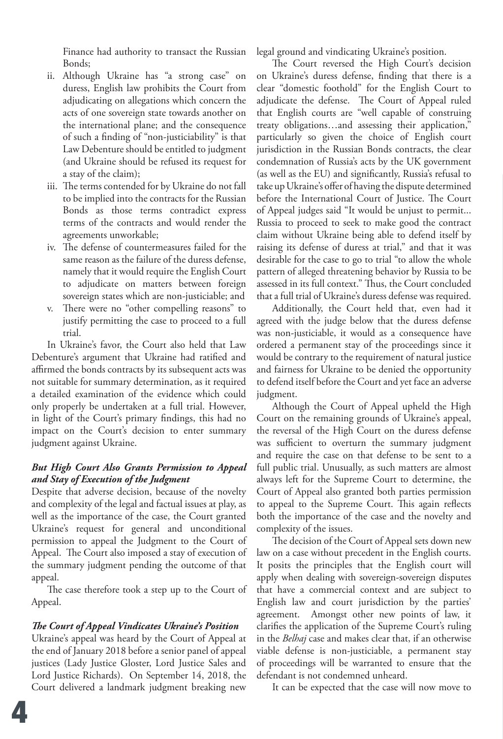Finance had authority to transact the Russian Bonds;

- ii. Although Ukraine has "a strong case" on duress, English law prohibits the Court from adjudicating on allegations which concern the acts of one sovereign state towards another on the international plane; and the consequence of such a finding of "non-justiciability" is that Law Debenture should be entitled to judgment (and Ukraine should be refused its request for a stay of the claim);
- iii. The terms contended for by Ukraine do not fall to be implied into the contracts for the Russian Bonds as those terms contradict express terms of the contracts and would render the agreements unworkable;
- iv. The defense of countermeasures failed for the same reason as the failure of the duress defense, namely that it would require the English Court to adjudicate on matters between foreign sovereign states which are non-justiciable; and
- v. There were no "other compelling reasons" to justify permitting the case to proceed to a full trial.

In Ukraine's favor, the Court also held that Law Debenture's argument that Ukraine had ratified and affirmed the bonds contracts by its subsequent acts was not suitable for summary determination, as it required a detailed examination of the evidence which could only properly be undertaken at a full trial. However, in light of the Court's primary findings, this had no impact on the Court's decision to enter summary judgment against Ukraine.

### *But High Court Also Grants Permission to Appeal and Stay of Execution of the Judgment*

Despite that adverse decision, because of the novelty and complexity of the legal and factual issues at play, as well as the importance of the case, the Court granted Ukraine's request for general and unconditional permission to appeal the Judgment to the Court of Appeal. The Court also imposed a stay of execution of the summary judgment pending the outcome of that appeal.

The case therefore took a step up to the Court of Appeal.

### *The Court of Appeal Vindicates Ukraine's Position*

Ukraine's appeal was heard by the Court of Appeal at the end of January 2018 before a senior panel of appeal justices (Lady Justice Gloster, Lord Justice Sales and Lord Justice Richards). On September 14, 2018, the Court delivered a landmark judgment breaking new

legal ground and vindicating Ukraine's position.

The Court reversed the High Court's decision on Ukraine's duress defense, finding that there is a clear "domestic foothold" for the English Court to adjudicate the defense. The Court of Appeal ruled that English courts are "well capable of construing treaty obligations…and assessing their application," particularly so given the choice of English court jurisdiction in the Russian Bonds contracts, the clear condemnation of Russia's acts by the UK government (as well as the EU) and significantly, Russia's refusal to take up Ukraine's offer of having the dispute determined before the International Court of Justice. The Court of Appeal judges said "It would be unjust to permit... Russia to proceed to seek to make good the contract claim without Ukraine being able to defend itself by raising its defense of duress at trial," and that it was desirable for the case to go to trial "to allow the whole pattern of alleged threatening behavior by Russia to be assessed in its full context." Thus, the Court concluded that a full trial of Ukraine's duress defense was required.

Additionally, the Court held that, even had it agreed with the judge below that the duress defense was non-justiciable, it would as a consequence have ordered a permanent stay of the proceedings since it would be contrary to the requirement of natural justice and fairness for Ukraine to be denied the opportunity to defend itself before the Court and yet face an adverse judgment.

Although the Court of Appeal upheld the High Court on the remaining grounds of Ukraine's appeal, the reversal of the High Court on the duress defense was sufficient to overturn the summary judgment and require the case on that defense to be sent to a full public trial. Unusually, as such matters are almost always left for the Supreme Court to determine, the Court of Appeal also granted both parties permission to appeal to the Supreme Court. This again reflects both the importance of the case and the novelty and complexity of the issues.

The decision of the Court of Appeal sets down new law on a case without precedent in the English courts. It posits the principles that the English court will apply when dealing with sovereign-sovereign disputes that have a commercial context and are subject to English law and court jurisdiction by the parties' agreement. Amongst other new points of law, it clarifies the application of the Supreme Court's ruling in the *Belhaj* case and makes clear that, if an otherwise viable defense is non-justiciable, a permanent stay of proceedings will be warranted to ensure that the defendant is not condemned unheard.

It can be expected that the case will now move to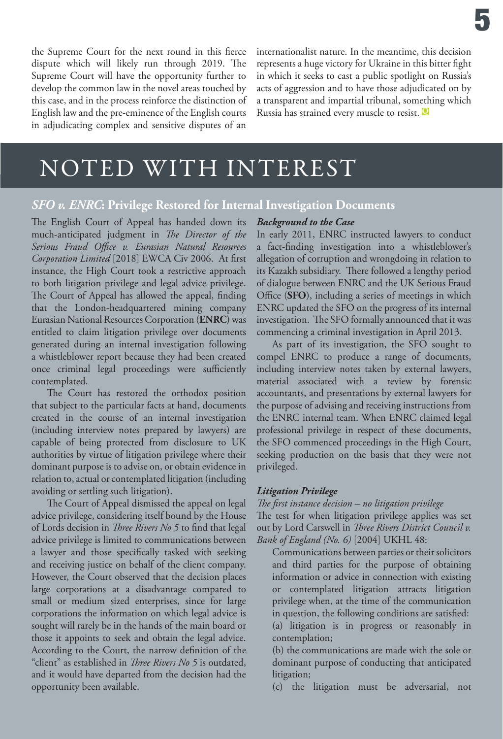the Supreme Court for the next round in this fierce dispute which will likely run through 2019. The Supreme Court will have the opportunity further to develop the common law in the novel areas touched by this case, and in the process reinforce the distinction of English law and the pre-eminence of the English courts in adjudicating complex and sensitive disputes of an

internationalist nature. In the meantime, this decision represents a huge victory for Ukraine in this bitter fight in which it seeks to cast a public spotlight on Russia's acts of aggression and to have those adjudicated on by a transparent and impartial tribunal, something which Russia has strained every muscle to resist. **<sup>Q</sup>**

## NOTED WITH INTEREST

### *SFO v. ENRC***: Privilege Restored for Internal Investigation Documents**

The English Court of Appeal has handed down its much-anticipated judgment in *The Director of the Serious Fraud Office v. Eurasian Natural Resources Corporation Limited* [2018] EWCA Civ 2006. At first instance, the High Court took a restrictive approach to both litigation privilege and legal advice privilege. The Court of Appeal has allowed the appeal, finding that the London-headquartered mining company Eurasian National Resources Corporation (**ENRC**) was entitled to claim litigation privilege over documents generated during an internal investigation following a whistleblower report because they had been created once criminal legal proceedings were sufficiently contemplated.

The Court has restored the orthodox position that subject to the particular facts at hand, documents created in the course of an internal investigation (including interview notes prepared by lawyers) are capable of being protected from disclosure to UK authorities by virtue of litigation privilege where their dominant purpose is to advise on, or obtain evidence in relation to, actual or contemplated litigation (including avoiding or settling such litigation).

The Court of Appeal dismissed the appeal on legal advice privilege, considering itself bound by the House of Lords decision in *Three Rivers No 5* to find that legal advice privilege is limited to communications between a lawyer and those specifically tasked with seeking and receiving justice on behalf of the client company. However, the Court observed that the decision places large corporations at a disadvantage compared to small or medium sized enterprises, since for large corporations the information on which legal advice is sought will rarely be in the hands of the main board or those it appoints to seek and obtain the legal advice. According to the Court, the narrow definition of the "client" as established in *Three Rivers No 5* is outdated, and it would have departed from the decision had the opportunity been available.

### *Background to the Case*

In early 2011, ENRC instructed lawyers to conduct a fact-finding investigation into a whistleblower's allegation of corruption and wrongdoing in relation to its Kazakh subsidiary. There followed a lengthy period of dialogue between ENRC and the UK Serious Fraud Office (**SFO**), including a series of meetings in which ENRC updated the SFO on the progress of its internal investigation. The SFO formally announced that it was commencing a criminal investigation in April 2013.

As part of its investigation, the SFO sought to compel ENRC to produce a range of documents, including interview notes taken by external lawyers, material associated with a review by forensic accountants, and presentations by external lawyers for the purpose of advising and receiving instructions from the ENRC internal team. When ENRC claimed legal professional privilege in respect of these documents, the SFO commenced proceedings in the High Court, seeking production on the basis that they were not privileged.

### *Litigation Privilege*

*The first instance decision – no litigation privilege*

The test for when litigation privilege applies was set out by Lord Carswell in *Three Rivers District Council v. Bank of England (No. 6)* [2004] UKHL 48:

Communications between parties or their solicitors and third parties for the purpose of obtaining information or advice in connection with existing or contemplated litigation attracts litigation privilege when, at the time of the communication in question, the following conditions are satisfied: (a) litigation is in progress or reasonably in contemplation;

(b) the communications are made with the sole or dominant purpose of conducting that anticipated litigation;

(c) the litigation must be adversarial, not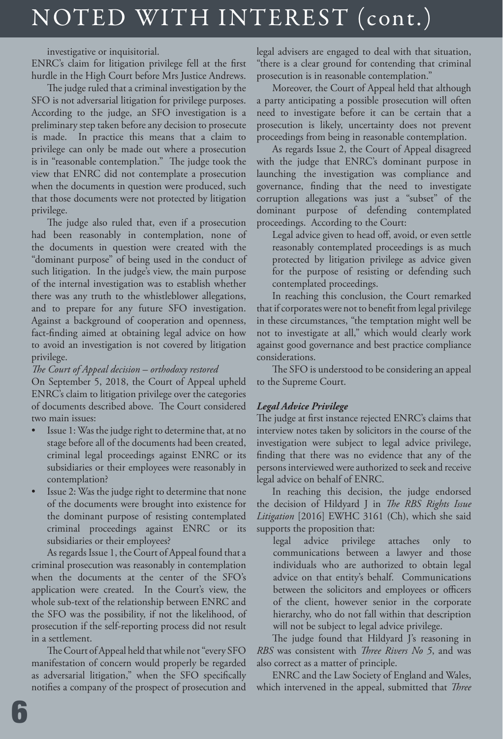# NOTED WITH INTEREST (cont.)

### investigative or inquisitorial.

ENRC's claim for litigation privilege fell at the first hurdle in the High Court before Mrs Justice Andrews.

The judge ruled that a criminal investigation by the SFO is not adversarial litigation for privilege purposes. According to the judge, an SFO investigation is a preliminary step taken before any decision to prosecute is made. In practice this means that a claim to privilege can only be made out where a prosecution is in "reasonable contemplation." The judge took the view that ENRC did not contemplate a prosecution when the documents in question were produced, such that those documents were not protected by litigation privilege.

The judge also ruled that, even if a prosecution had been reasonably in contemplation, none of the documents in question were created with the "dominant purpose" of being used in the conduct of such litigation. In the judge's view, the main purpose of the internal investigation was to establish whether there was any truth to the whistleblower allegations, and to prepare for any future SFO investigation. Against a background of cooperation and openness, fact-finding aimed at obtaining legal advice on how to avoid an investigation is not covered by litigation privilege.

### *The Court of Appeal decision – orthodoxy restored*

On September 5, 2018, the Court of Appeal upheld ENRC's claim to litigation privilege over the categories of documents described above. The Court considered two main issues:

- Issue 1: Was the judge right to determine that, at no stage before all of the documents had been created, criminal legal proceedings against ENRC or its subsidiaries or their employees were reasonably in contemplation?
- Issue 2: Was the judge right to determine that none of the documents were brought into existence for the dominant purpose of resisting contemplated criminal proceedings against ENRC or its subsidiaries or their employees?

As regards Issue 1, the Court of Appeal found that a criminal prosecution was reasonably in contemplation when the documents at the center of the SFO's application were created. In the Court's view, the whole sub-text of the relationship between ENRC and the SFO was the possibility, if not the likelihood, of prosecution if the self-reporting process did not result in a settlement.

The Court of Appeal held that while not "every SFO manifestation of concern would properly be regarded as adversarial litigation," when the SFO specifically notifies a company of the prospect of prosecution and

legal advisers are engaged to deal with that situation, "there is a clear ground for contending that criminal prosecution is in reasonable contemplation."

Moreover, the Court of Appeal held that although a party anticipating a possible prosecution will often need to investigate before it can be certain that a prosecution is likely, uncertainty does not prevent proceedings from being in reasonable contemplation.

As regards Issue 2, the Court of Appeal disagreed with the judge that ENRC's dominant purpose in launching the investigation was compliance and governance, finding that the need to investigate corruption allegations was just a "subset" of the dominant purpose of defending contemplated proceedings. According to the Court:

Legal advice given to head off, avoid, or even settle reasonably contemplated proceedings is as much protected by litigation privilege as advice given for the purpose of resisting or defending such contemplated proceedings.

In reaching this conclusion, the Court remarked that if corporates were not to benefit from legal privilege in these circumstances, "the temptation might well be not to investigate at all," which would clearly work against good governance and best practice compliance considerations.

The SFO is understood to be considering an appeal to the Supreme Court.

### *Legal Advice Privilege*

The judge at first instance rejected ENRC's claims that interview notes taken by solicitors in the course of the investigation were subject to legal advice privilege, finding that there was no evidence that any of the persons interviewed were authorized to seek and receive legal advice on behalf of ENRC.

In reaching this decision, the judge endorsed the decision of Hildyard J in *The RBS Rights Issue Litigation* [2016] EWHC 3161 (Ch), which she said supports the proposition that:

legal advice privilege attaches only communications between a lawyer and those individuals who are authorized to obtain legal advice on that entity's behalf. Communications between the solicitors and employees or officers of the client, however senior in the corporate hierarchy, who do not fall within that description will not be subject to legal advice privilege.

The judge found that Hildyard J's reasoning in *RBS* was consistent with *Three Rivers No 5*, and was also correct as a matter of principle.

ENRC and the Law Society of England and Wales, which intervened in the appeal, submitted that *Three*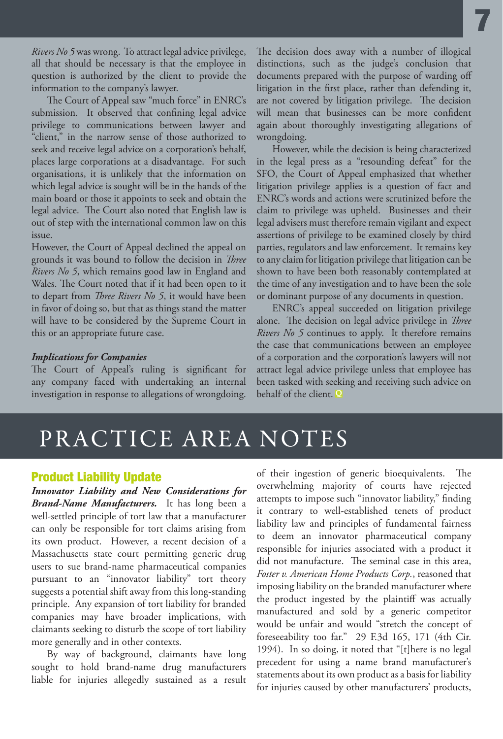*Rivers No 5* was wrong. To attract legal advice privilege, all that should be necessary is that the employee in question is authorized by the client to provide the information to the company's lawyer.

The Court of Appeal saw "much force" in ENRC's submission. It observed that confining legal advice privilege to communications between lawyer and "client," in the narrow sense of those authorized to seek and receive legal advice on a corporation's behalf, places large corporations at a disadvantage. For such organisations, it is unlikely that the information on which legal advice is sought will be in the hands of the main board or those it appoints to seek and obtain the legal advice. The Court also noted that English law is out of step with the international common law on this issue.

However, the Court of Appeal declined the appeal on grounds it was bound to follow the decision in *Three Rivers No 5*, which remains good law in England and Wales. The Court noted that if it had been open to it to depart from *Three Rivers No 5*, it would have been in favor of doing so, but that as things stand the matter will have to be considered by the Supreme Court in this or an appropriate future case.

### *Implications for Companies*

The Court of Appeal's ruling is significant for any company faced with undertaking an internal investigation in response to allegations of wrongdoing. The decision does away with a number of illogical distinctions, such as the judge's conclusion that documents prepared with the purpose of warding off litigation in the first place, rather than defending it, are not covered by litigation privilege. The decision will mean that businesses can be more confident again about thoroughly investigating allegations of wrongdoing.

7

However, while the decision is being characterized in the legal press as a "resounding defeat" for the SFO, the Court of Appeal emphasized that whether litigation privilege applies is a question of fact and ENRC's words and actions were scrutinized before the claim to privilege was upheld. Businesses and their legal advisers must therefore remain vigilant and expect assertions of privilege to be examined closely by third parties, regulators and law enforcement. It remains key to any claim for litigation privilege that litigation can be shown to have been both reasonably contemplated at the time of any investigation and to have been the sole or dominant purpose of any documents in question.

ENRC's appeal succeeded on litigation privilege alone. The decision on legal advice privilege in *Three Rivers No 5* continues to apply. It therefore remains the case that communications between an employee of a corporation and the corporation's lawyers will not attract legal advice privilege unless that employee has been tasked with seeking and receiving such advice on behalf of the client. **Q**

### PRACTICE AREA NOTES

### Product Liability Update

*Innovator Liability and New Considerations for Brand-Name Manufacturers.* It has long been a well-settled principle of tort law that a manufacturer can only be responsible for tort claims arising from its own product. However, a recent decision of a Massachusetts state court permitting generic drug users to sue brand-name pharmaceutical companies pursuant to an "innovator liability" tort theory suggests a potential shift away from this long-standing principle. Any expansion of tort liability for branded companies may have broader implications, with claimants seeking to disturb the scope of tort liability more generally and in other contexts.

By way of background, claimants have long sought to hold brand-name drug manufacturers liable for injuries allegedly sustained as a result of their ingestion of generic bioequivalents. The overwhelming majority of courts have rejected attempts to impose such "innovator liability," finding it contrary to well-established tenets of product liability law and principles of fundamental fairness to deem an innovator pharmaceutical company responsible for injuries associated with a product it did not manufacture. The seminal case in this area, *Foster v. American Home Products Corp.*, reasoned that imposing liability on the branded manufacturer where the product ingested by the plaintiff was actually manufactured and sold by a generic competitor would be unfair and would "stretch the concept of foreseeability too far." 29 F.3d 165, 171 (4th Cir. 1994). In so doing, it noted that "[t]here is no legal precedent for using a name brand manufacturer's statements about its own product as a basis for liability for injuries caused by other manufacturers' products,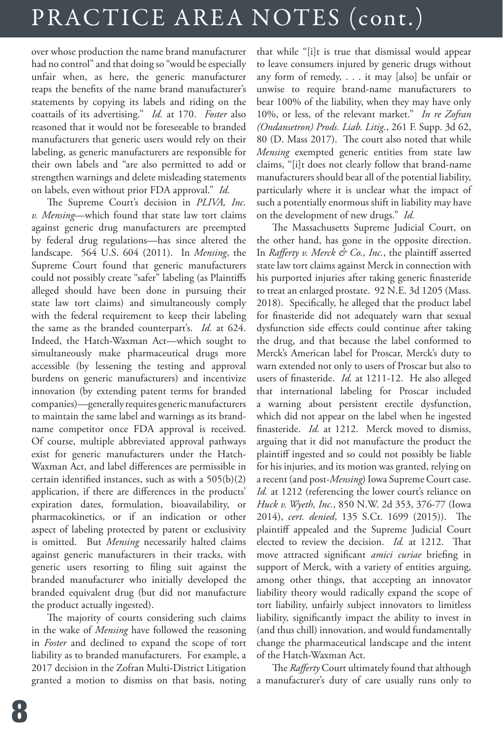# PRACTICE AREA NOTES (cont.)

over whose production the name brand manufacturer had no control" and that doing so "would be especially unfair when, as here, the generic manufacturer reaps the benefits of the name brand manufacturer's statements by copying its labels and riding on the coattails of its advertising." *Id.* at 170. *Foster* also reasoned that it would not be foreseeable to branded manufacturers that generic users would rely on their labeling, as generic manufacturers are responsible for their own labels and "are also permitted to add or strengthen warnings and delete misleading statements on labels, even without prior FDA approval." *Id.*

The Supreme Court's decision in *PLIVA, Inc. v. Mensing*—which found that state law tort claims against generic drug manufacturers are preempted by federal drug regulations—has since altered the landscape. 564 U.S. 604 (2011). In *Mensing*, the Supreme Court found that generic manufacturers could not possibly create "safer" labeling (as Plaintiffs alleged should have been done in pursuing their state law tort claims) and simultaneously comply with the federal requirement to keep their labeling the same as the branded counterpart's. *Id.* at 624. Indeed, the Hatch-Waxman Act—which sought to simultaneously make pharmaceutical drugs more accessible (by lessening the testing and approval burdens on generic manufacturers) and incentivize innovation (by extending patent terms for branded companies)—generally requires generic manufacturers to maintain the same label and warnings as its brandname competitor once FDA approval is received. Of course, multiple abbreviated approval pathways exist for generic manufacturers under the Hatch-Waxman Act, and label differences are permissible in certain identified instances, such as with a 505(b)(2) application, if there are differences in the products' expiration dates, formulation, bioavailability, or pharmacokinetics, or if an indication or other aspect of labeling protected by patent or exclusivity is omitted. But *Mensing* necessarily halted claims against generic manufacturers in their tracks, with generic users resorting to filing suit against the branded manufacturer who initially developed the branded equivalent drug (but did not manufacture the product actually ingested).

The majority of courts considering such claims in the wake of *Mensing* have followed the reasoning in *Foster* and declined to expand the scope of tort liability as to branded manufacturers. For example, a 2017 decision in the Zofran Multi-District Litigation granted a motion to dismiss on that basis, noting that while "[i]t is true that dismissal would appear to leave consumers injured by generic drugs without any form of remedy, . . . it may [also] be unfair or unwise to require brand-name manufacturers to bear 100% of the liability, when they may have only 10%, or less, of the relevant market." *In re Zofran (Ondansetron) Prods. Liab. Litig*., 261 F. Supp. 3d 62, 80 (D. Mass 2017). The court also noted that while *Mensing* exempted generic entities from state law claims, "[i]t does not clearly follow that brand-name manufacturers should bear all of the potential liability, particularly where it is unclear what the impact of such a potentially enormous shift in liability may have on the development of new drugs." *Id.*

The Massachusetts Supreme Judicial Court, on the other hand, has gone in the opposite direction. In *Rafferty v. Merck & Co., Inc.*, the plaintiff asserted state law tort claims against Merck in connection with his purported injuries after taking generic finasteride to treat an enlarged prostate. 92 N.E. 3d 1205 (Mass. 2018). Specifically, he alleged that the product label for finasteride did not adequately warn that sexual dysfunction side effects could continue after taking the drug, and that because the label conformed to Merck's American label for Proscar, Merck's duty to warn extended not only to users of Proscar but also to users of finasteride. *Id.* at 1211-12. He also alleged that international labeling for Proscar included a warning about persistent erectile dysfunction, which did not appear on the label when he ingested finasteride. *Id.* at 1212. Merck moved to dismiss, arguing that it did not manufacture the product the plaintiff ingested and so could not possibly be liable for his injuries, and its motion was granted, relying on a recent (and post-*Mensing*) Iowa Supreme Court case. Id. at 1212 (referencing the lower court's reliance on *Huck v. Wyeth, Inc.*, 850 N.W. 2d 353, 376-77 (Iowa 2014), *cert. denied*, 135 S.Ct. 1699 (2015)). The plaintiff appealed and the Supreme Judicial Court elected to review the decision. *Id.* at 1212. That move attracted significant *amici curiae* briefing in support of Merck, with a variety of entities arguing, among other things, that accepting an innovator liability theory would radically expand the scope of tort liability, unfairly subject innovators to limitless liability, significantly impact the ability to invest in (and thus chill) innovation, and would fundamentally change the pharmaceutical landscape and the intent of the Hatch-Waxman Act.

The *Rafferty* Court ultimately found that although a manufacturer's duty of care usually runs only to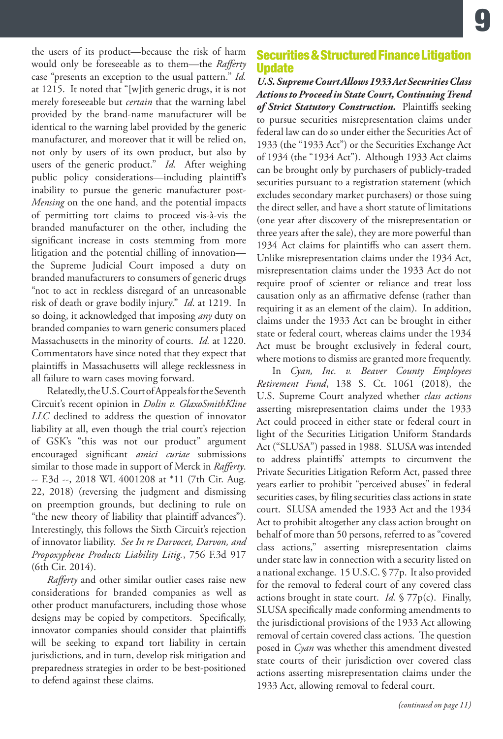the users of its product—because the risk of harm would only be foreseeable as to them—the *Rafferty*  case "presents an exception to the usual pattern." *Id.*  at 1215. It noted that "[w]ith generic drugs, it is not merely foreseeable but *certain* that the warning label provided by the brand-name manufacturer will be identical to the warning label provided by the generic manufacturer, and moreover that it will be relied on, not only by users of its own product, but also by users of the generic product." *Id.* After weighing public policy considerations—including plaintiff's inability to pursue the generic manufacturer post-*Mensing* on the one hand, and the potential impacts of permitting tort claims to proceed vis-à-vis the branded manufacturer on the other, including the significant increase in costs stemming from more litigation and the potential chilling of innovation the Supreme Judicial Court imposed a duty on branded manufacturers to consumers of generic drugs "not to act in reckless disregard of an unreasonable risk of death or grave bodily injury." *Id*. at 1219. In so doing, it acknowledged that imposing *any* duty on branded companies to warn generic consumers placed Massachusetts in the minority of courts. *Id.* at 1220. Commentators have since noted that they expect that plaintiffs in Massachusetts will allege recklessness in all failure to warn cases moving forward.

Relatedly, the U.S. Court of Appeals for the Seventh Circuit's recent opinion in *Dolin v. GlaxoSmithKline LLC* declined to address the question of innovator liability at all, even though the trial court's rejection of GSK's "this was not our product" argument encouraged significant *amici curiae* submissions similar to those made in support of Merck in *Rafferty*. -- F.3d --, 2018 WL 4001208 at \*11 (7th Cir. Aug. 22, 2018) (reversing the judgment and dismissing on preemption grounds, but declining to rule on "the new theory of liability that plaintiff advances"). Interestingly, this follows the Sixth Circuit's rejection of innovator liability. *See In re Darvocet, Darvon, and Propoxyphene Products Liability Litig.*, 756 F.3d 917 (6th Cir. 2014).

*Rafferty* and other similar outlier cases raise new considerations for branded companies as well as other product manufacturers, including those whose designs may be copied by competitors. Specifically, innovator companies should consider that plaintiffs will be seeking to expand tort liability in certain jurisdictions, and in turn, develop risk mitigation and preparedness strategies in order to be best-positioned to defend against these claims.

### Securities & Structured Finance Litigation **Update**

*U.S. Supreme Court Allows 1933 Act Securities Class Actions to Proceed in State Court, Continuing Trend of Strict Statutory Construction.* Plaintiffs seeking to pursue securities misrepresentation claims under federal law can do so under either the Securities Act of 1933 (the "1933 Act") or the Securities Exchange Act of 1934 (the "1934 Act"). Although 1933 Act claims can be brought only by purchasers of publicly-traded securities pursuant to a registration statement (which excludes secondary market purchasers) or those suing the direct seller, and have a short statute of limitations (one year after discovery of the misrepresentation or three years after the sale), they are more powerful than 1934 Act claims for plaintiffs who can assert them. Unlike misrepresentation claims under the 1934 Act, misrepresentation claims under the 1933 Act do not require proof of scienter or reliance and treat loss causation only as an affirmative defense (rather than requiring it as an element of the claim). In addition, claims under the 1933 Act can be brought in either state or federal court, whereas claims under the 1934 Act must be brought exclusively in federal court, where motions to dismiss are granted more frequently.

In *Cyan, Inc. v. Beaver County Employees Retirement Fund*, 138 S. Ct. 1061 (2018), the U.S. Supreme Court analyzed whether *class actions* asserting misrepresentation claims under the 1933 Act could proceed in either state or federal court in light of the Securities Litigation Uniform Standards Act ("SLUSA") passed in 1988. SLUSA was intended to address plaintiffs' attempts to circumvent the Private Securities Litigation Reform Act, passed three years earlier to prohibit "perceived abuses" in federal securities cases, by filing securities class actions in state court. SLUSA amended the 1933 Act and the 1934 Act to prohibit altogether any class action brought on behalf of more than 50 persons, referred to as "covered class actions," asserting misrepresentation claims under state law in connection with a security listed on a national exchange. 15 U.S.C. § 77p. It also provided for the removal to federal court of any covered class actions brought in state court. *Id.* § 77p(c). Finally, SLUSA specifically made conforming amendments to the jurisdictional provisions of the 1933 Act allowing removal of certain covered class actions. The question posed in *Cyan* was whether this amendment divested state courts of their jurisdiction over covered class actions asserting misrepresentation claims under the 1933 Act, allowing removal to federal court.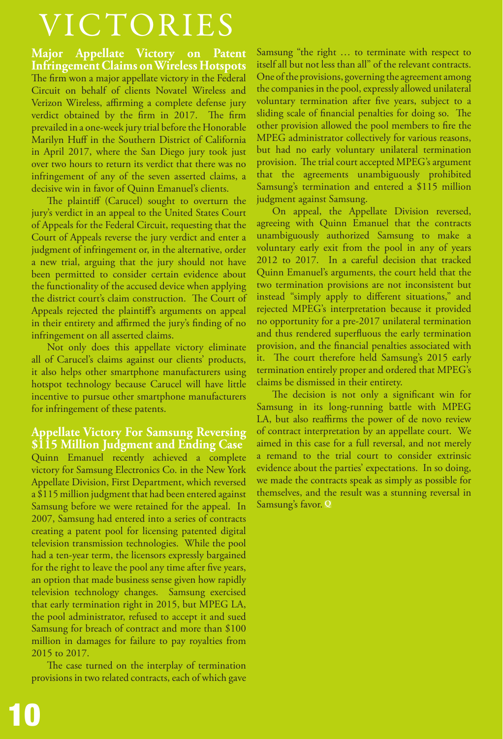# VICTORIES

**Major Appellate Victory on Patent Infringement Claims on Wireless Hotspots** The firm won a major appellate victory in the Federal Circuit on behalf of clients Novatel Wireless and Verizon Wireless, affirming a complete defense jury verdict obtained by the firm in 2017. The firm prevailed in a one-week jury trial before the Honorable Marilyn Huff in the Southern District of California in April 2017, where the San Diego jury took just over two hours to return its verdict that there was no infringement of any of the seven asserted claims, a decisive win in favor of Quinn Emanuel's clients.

The plaintiff (Carucel) sought to overturn the jury's verdict in an appeal to the United States Court of Appeals for the Federal Circuit, requesting that the Court of Appeals reverse the jury verdict and enter a judgment of infringement or, in the alternative, order a new trial, arguing that the jury should not have been permitted to consider certain evidence about the functionality of the accused device when applying the district court's claim construction. The Court of Appeals rejected the plaintiff's arguments on appeal in their entirety and affirmed the jury's finding of no infringement on all asserted claims.

Not only does this appellate victory eliminate all of Carucel's claims against our clients' products, it also helps other smartphone manufacturers using hotspot technology because Carucel will have little incentive to pursue other smartphone manufacturers for infringement of these patents.

**Appellate Victory For Samsung Reversing \$115 Million Judgment and Ending Case** Quinn Emanuel recently achieved a complete victory for Samsung Electronics Co. in the New York Appellate Division, First Department, which reversed a \$115 million judgment that had been entered against Samsung before we were retained for the appeal. In 2007, Samsung had entered into a series of contracts creating a patent pool for licensing patented digital television transmission technologies. While the pool had a ten-year term, the licensors expressly bargained for the right to leave the pool any time after five years, an option that made business sense given how rapidly television technology changes. Samsung exercised that early termination right in 2015, but MPEG LA, the pool administrator, refused to accept it and sued Samsung for breach of contract and more than \$100 million in damages for failure to pay royalties from 2015 to 2017.

The case turned on the interplay of termination provisions in two related contracts, each of which gave

Samsung "the right … to terminate with respect to itself all but not less than all" of the relevant contracts. One of the provisions, governing the agreement among the companies in the pool, expressly allowed unilateral voluntary termination after five years, subject to a sliding scale of financial penalties for doing so. The other provision allowed the pool members to fire the MPEG administrator collectively for various reasons, but had no early voluntary unilateral termination provision. The trial court accepted MPEG's argument that the agreements unambiguously prohibited Samsung's termination and entered a \$115 million judgment against Samsung.

On appeal, the Appellate Division reversed, agreeing with Quinn Emanuel that the contracts unambiguously authorized Samsung to make a voluntary early exit from the pool in any of years 2012 to 2017. In a careful decision that tracked Quinn Emanuel's arguments, the court held that the two termination provisions are not inconsistent but instead "simply apply to different situations," and rejected MPEG's interpretation because it provided no opportunity for a pre-2017 unilateral termination and thus rendered superfluous the early termination provision, and the financial penalties associated with it. The court therefore held Samsung's 2015 early termination entirely proper and ordered that MPEG's claims be dismissed in their entirety.

The decision is not only a significant win for Samsung in its long-running battle with MPEG LA, but also reaffirms the power of de novo review of contract interpretation by an appellate court. We aimed in this case for a full reversal, and not merely a remand to the trial court to consider extrinsic evidence about the parties' expectations. In so doing, we made the contracts speak as simply as possible for themselves, and the result was a stunning reversal in Samsung's favor. **Q**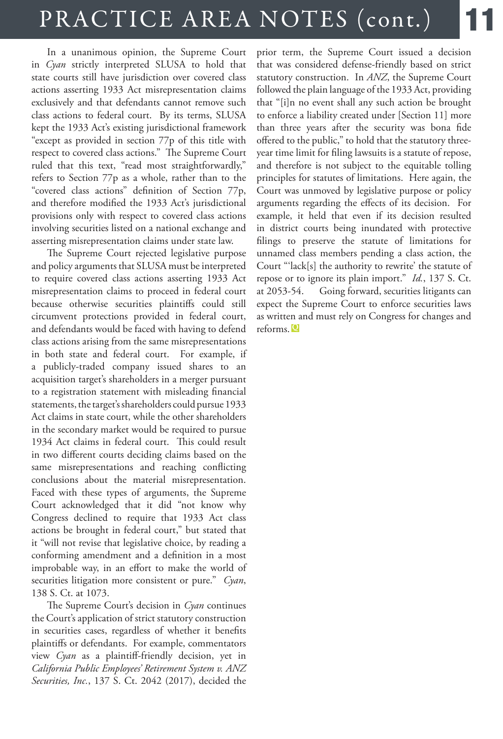# PRACTICE AREA NOTES (cont.)

In a unanimous opinion, the Supreme Court in *Cyan* strictly interpreted SLUSA to hold that state courts still have jurisdiction over covered class actions asserting 1933 Act misrepresentation claims exclusively and that defendants cannot remove such class actions to federal court. By its terms, SLUSA kept the 1933 Act's existing jurisdictional framework "except as provided in section 77p of this title with respect to covered class actions." The Supreme Court ruled that this text, "read most straightforwardly," refers to Section 77p as a whole, rather than to the "covered class actions" definition of Section 77p, and therefore modified the 1933 Act's jurisdictional provisions only with respect to covered class actions involving securities listed on a national exchange and asserting misrepresentation claims under state law.

The Supreme Court rejected legislative purpose and policy arguments that SLUSA must be interpreted to require covered class actions asserting 1933 Act misrepresentation claims to proceed in federal court because otherwise securities plaintiffs could still circumvent protections provided in federal court, and defendants would be faced with having to defend class actions arising from the same misrepresentations in both state and federal court. For example, if a publicly-traded company issued shares to an acquisition target's shareholders in a merger pursuant to a registration statement with misleading financial statements, the target's shareholders could pursue 1933 Act claims in state court, while the other shareholders in the secondary market would be required to pursue 1934 Act claims in federal court. This could result in two different courts deciding claims based on the same misrepresentations and reaching conflicting conclusions about the material misrepresentation. Faced with these types of arguments, the Supreme Court acknowledged that it did "not know why Congress declined to require that 1933 Act class actions be brought in federal court," but stated that it "will not revise that legislative choice, by reading a conforming amendment and a definition in a most improbable way, in an effort to make the world of securities litigation more consistent or pure." *Cyan*, 138 S. Ct. at 1073.

The Supreme Court's decision in *Cyan* continues the Court's application of strict statutory construction in securities cases, regardless of whether it benefits plaintiffs or defendants. For example, commentators view *Cyan* as a plaintiff-friendly decision, yet in *California Public Employees' Retirement System v. ANZ Securities, Inc.*, 137 S. Ct. 2042 (2017), decided the

prior term, the Supreme Court issued a decision that was considered defense-friendly based on strict statutory construction. In *ANZ*, the Supreme Court followed the plain language of the 1933 Act, providing that "[i]n no event shall any such action be brought to enforce a liability created under [Section 11] more than three years after the security was bona fide offered to the public," to hold that the statutory threeyear time limit for filing lawsuits is a statute of repose, and therefore is not subject to the equitable tolling principles for statutes of limitations. Here again, the Court was unmoved by legislative purpose or policy arguments regarding the effects of its decision. For example, it held that even if its decision resulted in district courts being inundated with protective filings to preserve the statute of limitations for unnamed class members pending a class action, the Court "'lack[s] the authority to rewrite' the statute of repose or to ignore its plain import." *Id.*, 137 S. Ct. at 2053-54. Going forward, securities litigants can expect the Supreme Court to enforce securities laws as written and must rely on Congress for changes and reforms. **Q**

11